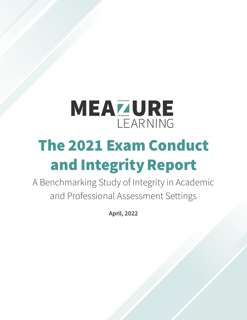# MEAZURE LEARNING The 2021 Exam Conduct and Integrity Report

A Benchmarking Study of Integrity in Academic and Professional Assessment Settings

April, 2022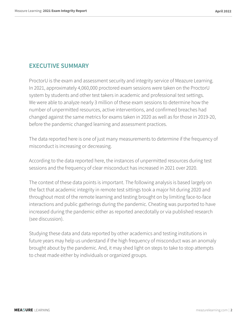#### EXECUTIVE SUMMARY

ProctorU is the exam and assessment security and integrity service of Meazure Learning. In 2021, approximately 4,060,000 proctored exam sessions were taken on the ProctorU system by students and other test takers in academic and professional test settings. We were able to analyze nearly 3 million of these exam sessions to determine how the number of unpermitted resources, active interventions, and confirmed breaches had changed against the same metrics for exams taken in 2020 as well as for those in 2019-20, before the pandemic changed learning and assessment practices.

The data reported here is one of just many measurements to determine if the frequency of misconduct is increasing or decreasing.

According to the data reported here, the instances of unpermitted resources during test sessions and the frequency of clear misconduct has increased in 2021 over 2020.

The context of these data points is important. The following analysis is based largely on the fact that academic integrity in remote test sittings took a major hit during 2020 and throughout most of the remote learning and testing brought on by limiting face-to-face interactions and public gatherings during the pandemic. Cheating was purported to have increased during the pandemic either as reported anecdotally or via published research (see discussion).

Studying these data and data reported by other academics and testing institutions in future years may help us understand if the high frequency of misconduct was an anomaly brought about by the pandemic. And, it may shed light on steps to take to stop attempts to cheat made either by individuals or organized groups.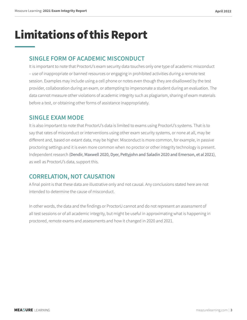### Limitations of this Report

#### SINGLE FORM OF ACADEMIC MISCONDUCT

It is important to note that ProctorU's exam security data touches only one type of academic misconduct – use of inappropriate or banned resources or engaging in prohibited activities during a remote test session. Examples may include using a cell phone or notes even though they are disallowed by the test provider, collaboration during an exam, or attempting to impersonate a student during an evaluation. The data cannot measure other violations of academic integrity such as plagiarism, sharing of exam materials before a test, or obtaining other forms of assistance inappropriately.

#### SINGLE EXAM MODE

It is also important to note that ProctorU's data is limited to exams using ProctorU's systems. That is to say that rates of misconduct or interventions using other exam security systems, or none at all, may be different and, based on extant data, may be higher. Misconduct is more common, for example, in passive proctoring settings and it is even more common when no proctor or other integrity technology is present. Independent research ([Dendir, Maxwell 2020](https://www.sciencedirect.com/science/article/pii/S2451958820300336), [Dyer, Pettyjohn and](https://www.ncta-testing.org/assets/docs/JNCTA/2020%20-%20JNCTA%20-%20Academic%20Dishonesty%20and%20Testing.pdf) Saladin 2020 and [Emerson, et al 2021](https://www.tandfonline.com/doi/abs/10.1080/09639284.2021.1971095?journalCode=raed20)), as well as ProctorU's data, support this.

#### CORRELATION, NOT CAUSATION

A final point is that these data are illustrative only and not causal. Any conclusions stated here are not intended to determine the cause of misconduct.

In other words, the data and the findings or ProctorU cannot and do not represent an assessment of all test sessions or of all academic integrity, but might be useful in approximating what is happening in proctored, remote exams and assessments and how it changed in 2020 and 2021.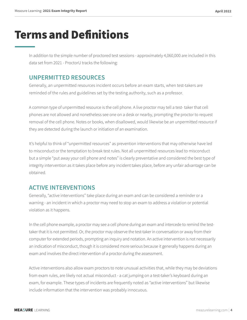### Terms and Definitions

In addition to the simple number of proctored test sessions - approximately 4,060,000 are included in this data set from 2021 - ProctorU tracks the following:

#### UNPERMITTED RESOURCES

Generally, an unpermitted resources incident occurs before an exam starts, when test-takers are reminded of the rules and guidelines set by the testing authority, such as a professor.

A common type of unpermitted resource is the cell phone. A live proctor may tell a test- taker that cell phones are not allowed and nonetheless see one on a desk or nearby, prompting the proctor to request removal of the cell phone. Notes or books, when disallowed, would likewise be an unpermitted resource if they are detected during the launch or initiation of an examination.

It's helpful to think of "unpermitted resources" as prevention interventions that may otherwise have led to misconduct or the temptation to break test rules. Not all unpermitted resources lead to misconduct but a simple "put away your cell phone and notes" is clearly preventative and considered the best type of integrity intervention as it takes place before any incident takes place, before any unfair advantage can be obtained.

#### ACTIVE INTERVENTIONS

Generally, "active interventions" take place during an exam and can be considered a reminder or a warning - an incident in which a proctor may need to stop an exam to address a violation or potential violation as it happens.

In the cell phone example, a proctor may see a cell phone during an exam and intercede to remind the testtaker that it is not permitted. Or, the proctor may observe the test-taker in conversation or away from their computer for extended periods, prompting an inquiry and notation. An active intervention is not necessarily an indication of misconduct, though it is considered more serious because it generally happens during an exam and involves the direct intervention of a proctor during the assessment.

Active interventions also allow exam proctors to note unusual activities that, while they may be deviations from exam rules, are likely not actual misconduct - a cat jumping on a test-taker's keyboard during an exam, for example. These types of incidents are frequently noted as "active interventions" but likewise include information that the intervention was probably innocuous.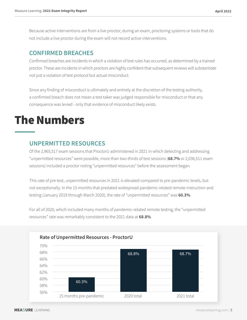Because active interventions are from a live proctor, during an exam, proctoring systems or tools that do not include a live proctor during the exam will not record active interventions.

#### CONFIRMED BREACHES

Confirmed breaches are incidents in which a violation of test rules has occurred, as determined by a trained proctor. These are incidents in which proctors are highly confident that subsequent reviews will substantiate not just a violation of test protocol but actual misconduct.

Since any finding of misconduct is ultimately and entirely at the discretion of the testing authority, a confirmed breach does not mean a test-taker was judged responsible for misconduct or that any consequence was levied - only that evidence of misconduct likely exists.

### The Numbers

#### UNPERMITTED RESOURCES

Of the 2,965,517 exam sessions that ProctorU administered in 2021 in which detecting and addressing "unpermitted resources" were possible, more than two-thirds of test sessions (68.7% or 2,036,511 exam sessions) included a proctor noting "unpermitted resources" before the assessment began.

This rate of pre-test, unpermitted resources in 2021 is elevated compared to pre-pandemic levels, but not exceptionally. In the 15 months that predated widespread pandemic-related remote instruction and testing (January 2019 through March 2020), the rate of "unpermitted resources" was 60.3%.

For all of 2020, which included many months of pandemic-related remote testing, the "unpermitted resources" rate was remarkably consistent to the 2021 data at 68.8%.

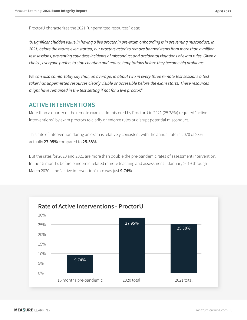ProctorU characterizes the 2021 "unpermitted resources" data:

*"A significant hidden value in having a live proctor in pre-exam onboarding is in preventing misconduct. In 2021, before the exams even started, our proctors acted to remove banned items from more than a million test sessions, preventing countless incidents of misconduct and accidental violations of exam rules. Given a choice, everyone prefers to stop cheating and reduce temptations before they become big problems.*

*We can also comfortably say that, on average, in about two in every three remote test sessions a test taker has unpermitted resources clearly visible or accessible before the exam starts. These resources might have remained in the test setting if not for a live proctor."* 

#### ACTIVE INTERVENTIONS

More than a quarter of the remote exams administered by ProctorU in 2021 (25.38%) required "active interventions" by exam proctors to clarify or enforce rules or disrupt potential misconduct.

This rate of intervention during an exam is relatively consistent with the annual rate in 2020 of 28% - actually 27.95% compared to 25.38%.

But the rates for 2020 and 2021 are more than double the pre-pandemic rates of assessment intervention. In the 15 months before pandemic-related remote teaching and assessment – January 2019 through March 2020 – the "active intervention" rate was just 9.74%.

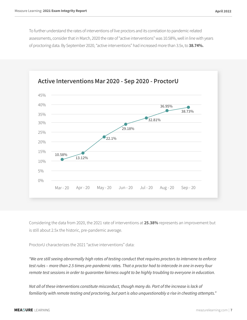To further understand the rates of interventions of live proctors and its correlation to pandemic-related assessments, consider that in March, 2020 the rate of "active interventions" was 10.58%, well in line with years of proctoring data. By September 2020, "active interventions" had increased more than 3.5x, to 38.74%.



Considering the data from 2020, the 2021 rate of interventions at 25.38% represents an improvement but is still about 2.5x the historic, pre-pandemic average.

ProctorU characterizes the 2021 "active interventions" data:

*"We are still seeing abnormally high rates of testing conduct that requires proctors to intervene to enforce test rules – more than 2.5 times pre-pandemic rates. That a proctor had to intercede in one in every four remote test sessions in order to guarantee fairness ought to be highly troubling to everyone in education.*

*Not all of these interventions constitute misconduct, though many do. Part of the increase is lack of familiarity with remote testing and proctoring, but part is also unquestionably a rise in cheating attempts."*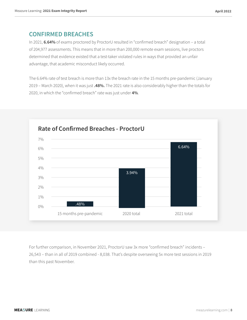#### CONFIRMED BREACHES

In 2021, 6.64% of exams proctored by ProctorU resulted in "confirmed breach" designation – a total of 204,977 assessments. This means that in more than 200,000 remote exam sessions, live proctors determined that evidence existed that a test-taker violated rules in ways that provided an unfair advantage, that academic misconduct likely occurred.

The 6.64% rate of test breach is more than 13x the breach rate in the 15 months pre-pandemic (January 2019 – March 2020), when it was just .48%. The 2021 rate is also considerably higher than the totals for 2020, in which the "confirmed breach" rate was just under 4%.



For further comparison, in November 2021, ProctorU saw 3x more "confirmed breach" incidents – 26,543 – than in all of 2019 combined - 8,038. That's despite overseeing 5x more test sessions in 2019 than this past November.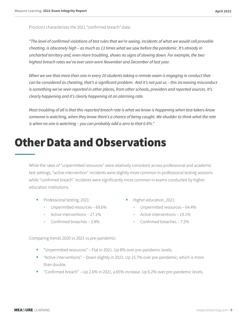ProctorU characterizes the 2021 "confirmed breach" data:

*"The level of confirmed violations of test rules that we're seeing, incidents of what we would call provable cheating, is obscenely high – as much as 13 times what we saw before the pandemic. It's already in uncharted territory and, even more troubling, shows no signs of slowing down. For example, the two highest breach rates we've ever seen were November and December of last year.* 

When we see that more than one in every 20 students taking a remote exam is engaging in conduct that *can be considered as cheating, that's a significant problem. And it's not just us – this increasing misconduct is something we've seen reported in other places, from other schools, providers and reported sources. It's clearly happening and it's clearly happening at an alarming rate.*

*Most troubling of all is that this reported breach rate is what we know is happening when test-takers know someone is watching, when they know there's a chance of being caught. We shudder to think what the rate is when no one is watching – you can probably add a zero to that 6.6%."* 

### Other Data and Observations

While the rates of "unpermitted resources" were relatively consistent across professional and academic test settings, "active intervention" incidents were slightly more common in professional testing sessions while "confirmed breach" incidents were significantly more common in exams conducted by higher education institutions.

- Professional testing, 2021:
	- Unpermitted resources 69.6%
	- Active interventions 27.1%
	- Confirmed breaches 3.8%
- Higher education, 2021:
	- Unpermitted resources 64.4%
	- Active interventions 19.1%
	- Confirmed breaches 7.2%

Comparing trends 2020 vs 2021 vs pre-pandemic:

- "Unpermitted resources" Flat in 2021. Up 8% over pre-pandemic levels.
- "Active interventions" Down slightly in 2021. Up 15.7% over pre-pandemic, which is more than double.
- "Confirmed breach" Up 2.6% in 2021, a 65% increase. Up 6.2% over pre-pandemic levels.